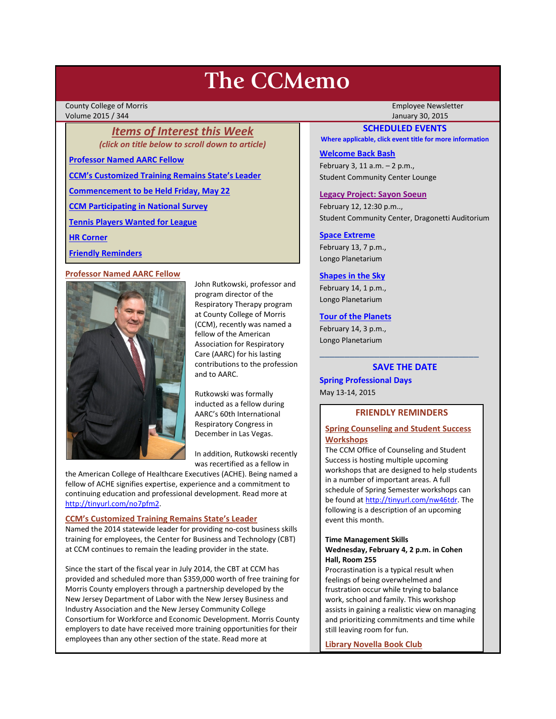# **The CCMemo**

County College of Morris Employee Newsletter Volume 2015 / 344 January 30, 2015

### *Items of Interest this Week (click on title below to scroll down to article)*

**[Professor Named AARC Fellow](#page-0-0)**

**[CCM's Customized Training Remains State's Leader](#page-0-1)**

**[Commencement to be Held Friday, May 22](#page-1-0)**

**[CCM Participating in National Survey](#page-1-1)**

**[Tennis Players Wanted for League](#page-1-2)**

**[HR Corner](#page-1-3)**

**[Friendly Reminders](#page-0-2)**

### <span id="page-0-0"></span>**Professor Named AARC Fellow**



John Rutkowski, professor and program director of the Respiratory Therapy program at County College of Morris (CCM), recently was named a fellow of the American Association for Respiratory Care (AARC) for his lasting contributions to the profession and to AARC.

Rutkowski was formally inducted as a fellow during AARC's 60th International Respiratory Congress in December in Las Vegas.

In addition, Rutkowski recently was recertified as a fellow in

the American College of Healthcare Executives (ACHE). Being named a fellow of ACHE signifies expertise, experience and a commitment to continuing education and professional development. Read more at [http://tinyurl.com/no7pfm2.](http://tinyurl.com/no7pfm2)

### <span id="page-0-1"></span>**CCM's Customized Training Remains State's Leader**

Named the 2014 statewide leader for providing no-cost business skills training for employees, the Center for Business and Technology (CBT) at CCM continues to remain the leading provider in the state.

Since the start of the fiscal year in July 2014, the CBT at CCM has provided and scheduled more than \$359,000 worth of free training for Morris County employers through a partnership developed by the New Jersey Department of Labor with the New Jersey Business and Industry Association and the New Jersey Community College Consortium for Workforce and Economic Development. Morris County employers to date have received more training opportunities for their employees than any other section of the state. Read more at

### **SCHEDULED EVENTS**

**Where applicable, click event title for more information**

### **[Welcome Back Bash](https://www.facebook.com/events/1522563848010249/)**

February 3, 11 a.m. – 2 p.m., Student Community Center Lounge

### **[Legacy Project: Sayon Soeun](http://www.ccm.edu/newsEvents/newsDetails.aspx?Channel=%2fChannels%2fSitewide&WorkflowItemID=601f38ee-268d-410e-a581-f50a52c17e87)**

February 12, 12:30 p.m.., Student Community Center, Dragonetti Auditorium

### **[Space Extreme](http://www.ccm.edu/newsEvents/eventDetails.aspx?Channel=/Channels/Sitewide&WorkflowItemID=1874a4b0-0bcb-4ed1-a29e-7b4f8d25e45d)**

February 13, 7 p.m., Longo Planetarium

### **[Shapes in the Sky](http://www.ccm.edu/newsEvents/eventDetails.aspx?Channel=/Channels/Sitewide&WorkflowItemID=1922c928-86d3-4e75-b6a2-fd618033989c)**

February 14, 1 p.m., Longo Planetarium

### **[Tour of the Planets](http://www.ccm.edu/newsEvents/eventDetails.aspx?Channel=/Channels/Sitewide&WorkflowItemID=5834aa20-68ba-4fa2-a3ac-75b2311ba441)**

February 14, 3 p.m., Longo Planetarium

# \_\_\_\_\_\_\_\_\_\_\_\_\_\_\_\_\_\_\_\_\_\_\_\_\_\_\_\_\_\_\_\_ **SAVE THE DATE**

**Spring Professional Days** May 13-14, 2015

### **FRIENDLY REMINDERS**

### <span id="page-0-2"></span>**Spring Counseling and Student Success Workshops**

The CCM Office of Counseling and Student Success is hosting multiple upcoming workshops that are designed to help students in a number of important areas. A full schedule of Spring Semester workshops can be found a[t http://tinyurl.com/nw46tdr.](http://tinyurl.com/nw46tdr) The following is a description of an upcoming event this month.

### **Time Management Skills Wednesday, February 4, 2 p.m. in Cohen Hall, Room 255**

Procrastination is a typical result when feelings of being overwhelmed and frustration occur while trying to balance work, school and family. This workshop assists in gaining a realistic view on managing and prioritizing commitments and time while still leaving room for fun.

**Library Novella Book Club**